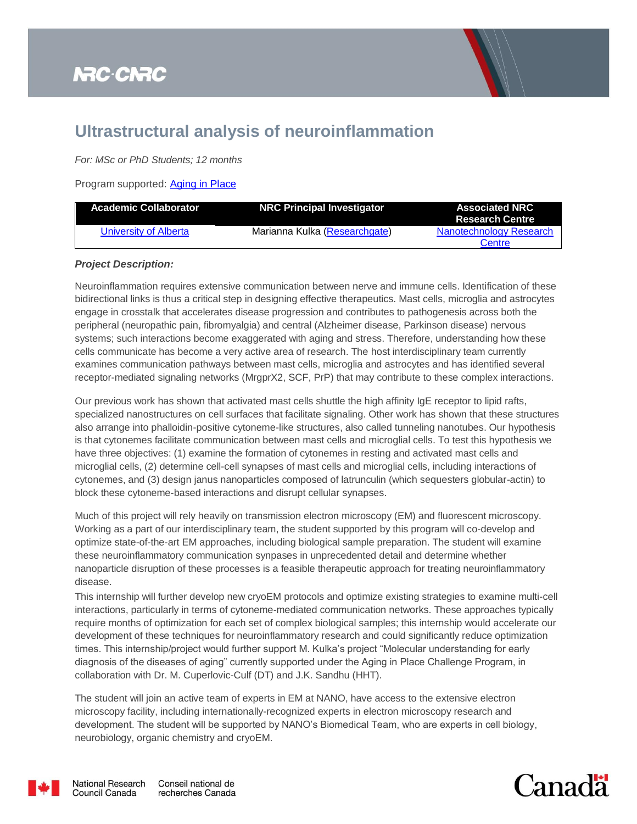## **NRC-CNRC**



## **Ultrastructural analysis of neuroinflammation**

*For: MSc or PhD Students; 12 months*

Program supported: [Aging in Place](https://nrc.canada.ca/en/research-development/research-collaboration/programs/aging-place-challenge-program)

| <b>Academic Collaborator</b> | <b>NRC Principal Investigator</b> | <b>Associated NRC</b><br><b>Research Centre</b> |
|------------------------------|-----------------------------------|-------------------------------------------------|
| University of Alberta        | Marianna Kulka (Researchgate)     | <b>Nanotechnology Research</b>                  |
|                              |                                   | Centre                                          |

## *Project Description:*

Neuroinflammation requires extensive communication between nerve and immune cells. Identification of these bidirectional links is thus a critical step in designing effective therapeutics. Mast cells, microglia and astrocytes engage in crosstalk that accelerates disease progression and contributes to pathogenesis across both the peripheral (neuropathic pain, fibromyalgia) and central (Alzheimer disease, Parkinson disease) nervous systems; such interactions become exaggerated with aging and stress. Therefore, understanding how these cells communicate has become a very active area of research. The host interdisciplinary team currently examines communication pathways between mast cells, microglia and astrocytes and has identified several receptor-mediated signaling networks (MrgprX2, SCF, PrP) that may contribute to these complex interactions.

Our previous work has shown that activated mast cells shuttle the high affinity IgE receptor to lipid rafts, specialized nanostructures on cell surfaces that facilitate signaling. Other work has shown that these structures also arrange into phalloidin-positive cytoneme-like structures, also called tunneling nanotubes. Our hypothesis is that cytonemes facilitate communication between mast cells and microglial cells. To test this hypothesis we have three objectives: (1) examine the formation of cytonemes in resting and activated mast cells and microglial cells, (2) determine cell-cell synapses of mast cells and microglial cells, including interactions of cytonemes, and (3) design janus nanoparticles composed of latrunculin (which sequesters globular-actin) to block these cytoneme-based interactions and disrupt cellular synapses.

Much of this project will rely heavily on transmission electron microscopy (EM) and fluorescent microscopy. Working as a part of our interdisciplinary team, the student supported by this program will co-develop and optimize state-of-the-art EM approaches, including biological sample preparation. The student will examine these neuroinflammatory communication synpases in unprecedented detail and determine whether nanoparticle disruption of these processes is a feasible therapeutic approach for treating neuroinflammatory disease.

This internship will further develop new cryoEM protocols and optimize existing strategies to examine multi-cell interactions, particularly in terms of cytoneme-mediated communication networks. These approaches typically require months of optimization for each set of complex biological samples; this internship would accelerate our development of these techniques for neuroinflammatory research and could significantly reduce optimization times. This internship/project would further support M. Kulka's project "Molecular understanding for early diagnosis of the diseases of aging" currently supported under the Aging in Place Challenge Program, in collaboration with Dr. M. Cuperlovic-Culf (DT) and J.K. Sandhu (HHT).

The student will join an active team of experts in EM at NANO, have access to the extensive electron microscopy facility, including internationally-recognized experts in electron microscopy research and development. The student will be supported by NANO's Biomedical Team, who are experts in cell biology, neurobiology, organic chemistry and cryoEM.